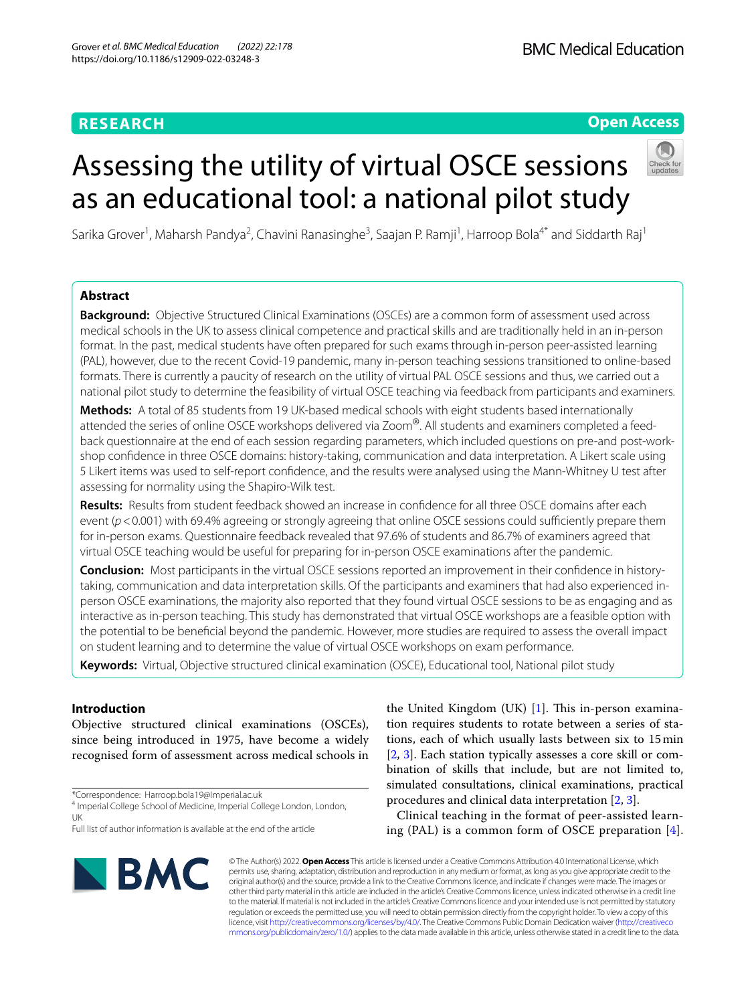# **Open Access**

# Assessing the utility of virtual OSCE sessions as an educational tool: a national pilot study



Sarika Grover<sup>1</sup>, Maharsh Pandya<sup>2</sup>, Chavini Ranasinghe<sup>3</sup>, Saajan P. Ramji<sup>1</sup>, Harroop Bola<sup>4\*</sup> and Siddarth Raj<sup>1</sup>

## **Abstract**

**Background:** Objective Structured Clinical Examinations (OSCEs) are a common form of assessment used across medical schools in the UK to assess clinical competence and practical skills and are traditionally held in an in-person format. In the past, medical students have often prepared for such exams through in-person peer-assisted learning (PAL), however, due to the recent Covid-19 pandemic, many in-person teaching sessions transitioned to online-based formats. There is currently a paucity of research on the utility of virtual PAL OSCE sessions and thus, we carried out a national pilot study to determine the feasibility of virtual OSCE teaching via feedback from participants and examiners.

**Methods:** A total of 85 students from 19 UK-based medical schools with eight students based internationally attended the series of online OSCE workshops delivered via Zoom®. All students and examiners completed a feedback questionnaire at the end of each session regarding parameters, which included questions on pre-and post-workshop confdence in three OSCE domains: history-taking, communication and data interpretation. A Likert scale using 5 Likert items was used to self-report confdence, and the results were analysed using the Mann-Whitney U test after assessing for normality using the Shapiro-Wilk test.

**Results:** Results from student feedback showed an increase in confdence for all three OSCE domains after each event ( $p$ <0.001) with 69.4% agreeing or strongly agreeing that online OSCE sessions could sufficiently prepare them for in-person exams. Questionnaire feedback revealed that 97.6% of students and 86.7% of examiners agreed that virtual OSCE teaching would be useful for preparing for in-person OSCE examinations after the pandemic.

**Conclusion:** Most participants in the virtual OSCE sessions reported an improvement in their confdence in historytaking, communication and data interpretation skills. Of the participants and examiners that had also experienced inperson OSCE examinations, the majority also reported that they found virtual OSCE sessions to be as engaging and as interactive as in-person teaching. This study has demonstrated that virtual OSCE workshops are a feasible option with the potential to be benefcial beyond the pandemic. However, more studies are required to assess the overall impact on student learning and to determine the value of virtual OSCE workshops on exam performance.

**Keywords:** Virtual, Objective structured clinical examination (OSCE), Educational tool, National pilot study

## **Introduction**

Objective structured clinical examinations (OSCEs), since being introduced in 1975, have become a widely recognised form of assessment across medical schools in

\*Correspondence: Harroop.bola19@Imperial.ac.uk

the United Kingdom (UK)  $[1]$ . This in-person examination requires students to rotate between a series of stations, each of which usually lasts between six to 15min [[2,](#page-5-1) [3\]](#page-5-2). Each station typically assesses a core skill or combination of skills that include, but are not limited to, simulated consultations, clinical examinations, practical procedures and clinical data interpretation [\[2](#page-5-1), [3\]](#page-5-2).

Clinical teaching in the format of peer-assisted learning (PAL) is a common form of OSCE preparation [[4](#page-5-3)].



© The Author(s) 2022. **Open Access** This article is licensed under a Creative Commons Attribution 4.0 International License, which permits use, sharing, adaptation, distribution and reproduction in any medium or format, as long as you give appropriate credit to the original author(s) and the source, provide a link to the Creative Commons licence, and indicate if changes were made. The images or other third party material in this article are included in the article's Creative Commons licence, unless indicated otherwise in a credit line to the material. If material is not included in the article's Creative Commons licence and your intended use is not permitted by statutory regulation or exceeds the permitted use, you will need to obtain permission directly from the copyright holder. To view a copy of this licence, visit [http://creativecommons.org/licenses/by/4.0/.](http://creativecommons.org/licenses/by/4.0/) The Creative Commons Public Domain Dedication waiver ([http://creativeco](http://creativecommons.org/publicdomain/zero/1.0/) [mmons.org/publicdomain/zero/1.0/](http://creativecommons.org/publicdomain/zero/1.0/)) applies to the data made available in this article, unless otherwise stated in a credit line to the data.

<sup>&</sup>lt;sup>4</sup> Imperial College School of Medicine, Imperial College London, London, UK

Full list of author information is available at the end of the article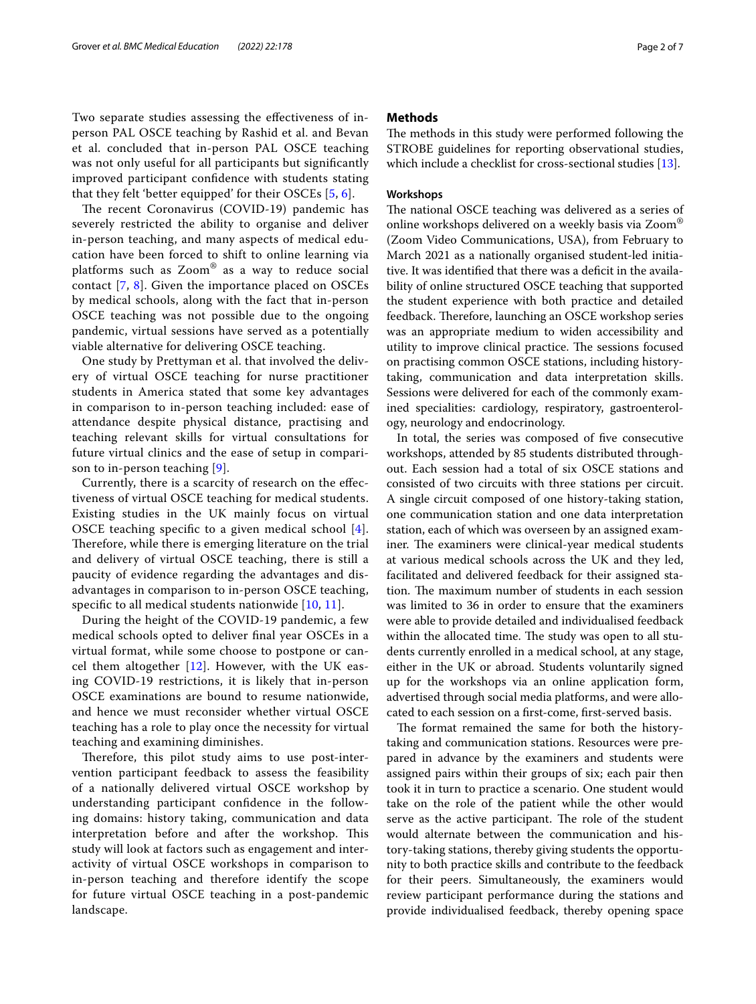Two separate studies assessing the efectiveness of inperson PAL OSCE teaching by Rashid et al. and Bevan et al. concluded that in-person PAL OSCE teaching was not only useful for all participants but signifcantly improved participant confdence with students stating that they felt 'better equipped' for their OSCEs [\[5](#page-5-4), [6](#page-5-5)].

The recent Coronavirus (COVID-19) pandemic has severely restricted the ability to organise and deliver in-person teaching, and many aspects of medical education have been forced to shift to online learning via platforms such as Zoom® as a way to reduce social contact [[7,](#page-5-6) [8](#page-5-7)]. Given the importance placed on OSCEs by medical schools, along with the fact that in-person OSCE teaching was not possible due to the ongoing pandemic, virtual sessions have served as a potentially viable alternative for delivering OSCE teaching.

One study by Prettyman et al. that involved the delivery of virtual OSCE teaching for nurse practitioner students in America stated that some key advantages in comparison to in-person teaching included: ease of attendance despite physical distance, practising and teaching relevant skills for virtual consultations for future virtual clinics and the ease of setup in comparison to in-person teaching [\[9](#page-5-8)].

Currently, there is a scarcity of research on the efectiveness of virtual OSCE teaching for medical students. Existing studies in the UK mainly focus on virtual OSCE teaching specifc to a given medical school [[4\]](#page-5-3). Therefore, while there is emerging literature on the trial and delivery of virtual OSCE teaching, there is still a paucity of evidence regarding the advantages and disadvantages in comparison to in-person OSCE teaching, specific to all medical students nationwide  $[10, 11]$  $[10, 11]$  $[10, 11]$  $[10, 11]$ .

During the height of the COVID-19 pandemic, a few medical schools opted to deliver fnal year OSCEs in a virtual format, while some choose to postpone or cancel them altogether  $[12]$  $[12]$ . However, with the UK easing COVID-19 restrictions, it is likely that in-person OSCE examinations are bound to resume nationwide, and hence we must reconsider whether virtual OSCE teaching has a role to play once the necessity for virtual teaching and examining diminishes.

Therefore, this pilot study aims to use post-intervention participant feedback to assess the feasibility of a nationally delivered virtual OSCE workshop by understanding participant confdence in the following domains: history taking, communication and data interpretation before and after the workshop. This study will look at factors such as engagement and interactivity of virtual OSCE workshops in comparison to in-person teaching and therefore identify the scope for future virtual OSCE teaching in a post-pandemic landscape.

## **Methods**

The methods in this study were performed following the STROBE guidelines for reporting observational studies, which include a checklist for cross-sectional studies [[13\]](#page-5-12).

## **Workshops**

The national OSCE teaching was delivered as a series of online workshops delivered on a weekly basis via Zoom® (Zoom Video Communications, USA), from February to March 2021 as a nationally organised student-led initiative. It was identified that there was a deficit in the availability of online structured OSCE teaching that supported the student experience with both practice and detailed feedback. Therefore, launching an OSCE workshop series was an appropriate medium to widen accessibility and utility to improve clinical practice. The sessions focused on practising common OSCE stations, including historytaking, communication and data interpretation skills. Sessions were delivered for each of the commonly examined specialities: cardiology, respiratory, gastroenterology, neurology and endocrinology.

In total, the series was composed of fve consecutive workshops, attended by 85 students distributed throughout. Each session had a total of six OSCE stations and consisted of two circuits with three stations per circuit. A single circuit composed of one history-taking station, one communication station and one data interpretation station, each of which was overseen by an assigned examiner. The examiners were clinical-year medical students at various medical schools across the UK and they led, facilitated and delivered feedback for their assigned station. The maximum number of students in each session was limited to 36 in order to ensure that the examiners were able to provide detailed and individualised feedback within the allocated time. The study was open to all students currently enrolled in a medical school, at any stage, either in the UK or abroad. Students voluntarily signed up for the workshops via an online application form, advertised through social media platforms, and were allocated to each session on a frst-come, frst-served basis.

The format remained the same for both the historytaking and communication stations. Resources were prepared in advance by the examiners and students were assigned pairs within their groups of six; each pair then took it in turn to practice a scenario. One student would take on the role of the patient while the other would serve as the active participant. The role of the student would alternate between the communication and history-taking stations, thereby giving students the opportunity to both practice skills and contribute to the feedback for their peers. Simultaneously, the examiners would review participant performance during the stations and provide individualised feedback, thereby opening space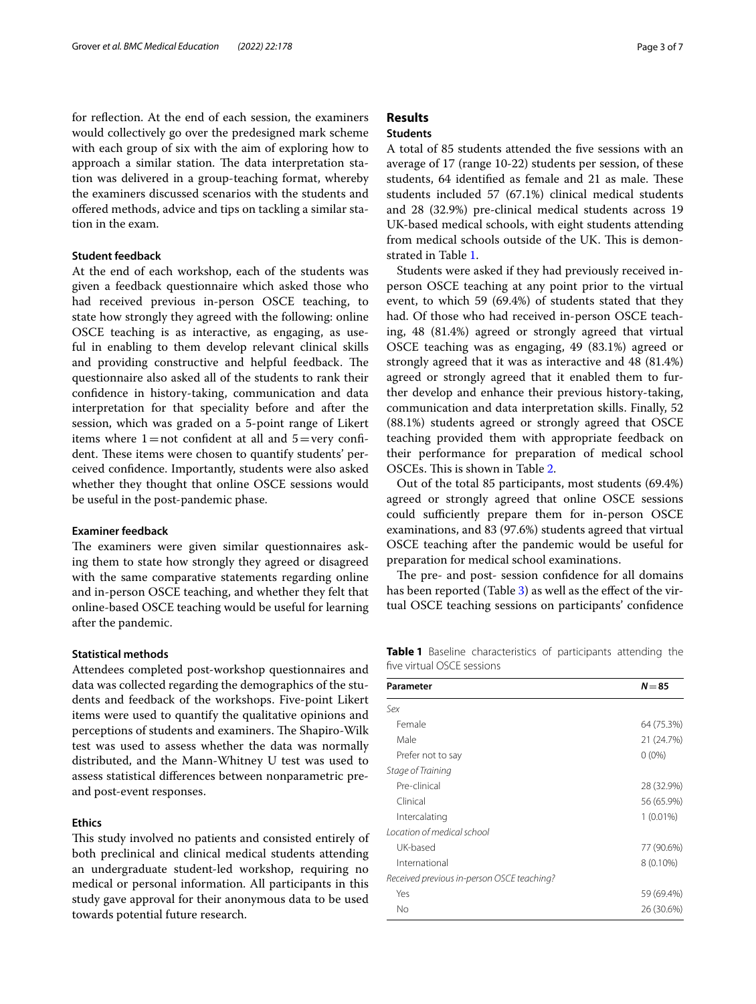for refection. At the end of each session, the examiners would collectively go over the predesigned mark scheme with each group of six with the aim of exploring how to approach a similar station. The data interpretation station was delivered in a group-teaching format, whereby the examiners discussed scenarios with the students and ofered methods, advice and tips on tackling a similar station in the exam.

## **Student feedback**

At the end of each workshop, each of the students was given a feedback questionnaire which asked those who had received previous in-person OSCE teaching, to state how strongly they agreed with the following: online OSCE teaching is as interactive, as engaging, as useful in enabling to them develop relevant clinical skills and providing constructive and helpful feedback. The questionnaire also asked all of the students to rank their confdence in history-taking, communication and data interpretation for that speciality before and after the session, which was graded on a 5-point range of Likert items where  $1=$  not confident at all and  $5=$ very confident. These items were chosen to quantify students' perceived confdence. Importantly, students were also asked whether they thought that online OSCE sessions would be useful in the post-pandemic phase.

## **Examiner feedback**

The examiners were given similar questionnaires asking them to state how strongly they agreed or disagreed with the same comparative statements regarding online and in-person OSCE teaching, and whether they felt that online-based OSCE teaching would be useful for learning after the pandemic.

#### **Statistical methods**

Attendees completed post-workshop questionnaires and data was collected regarding the demographics of the students and feedback of the workshops. Five-point Likert items were used to quantify the qualitative opinions and perceptions of students and examiners. The Shapiro-Wilk test was used to assess whether the data was normally distributed, and the Mann-Whitney U test was used to assess statistical diferences between nonparametric preand post-event responses.

## **Ethics**

This study involved no patients and consisted entirely of both preclinical and clinical medical students attending an undergraduate student-led workshop, requiring no medical or personal information. All participants in this study gave approval for their anonymous data to be used towards potential future research.

# **Results**

## **Students**

A total of 85 students attended the fve sessions with an average of 17 (range 10-22) students per session, of these students, 64 identified as female and 21 as male. These students included 57 (67.1%) clinical medical students and 28 (32.9%) pre-clinical medical students across 19 UK-based medical schools, with eight students attending from medical schools outside of the UK. This is demonstrated in Table [1](#page-2-0).

Students were asked if they had previously received inperson OSCE teaching at any point prior to the virtual event, to which 59 (69.4%) of students stated that they had. Of those who had received in-person OSCE teaching, 48 (81.4%) agreed or strongly agreed that virtual OSCE teaching was as engaging, 49 (83.1%) agreed or strongly agreed that it was as interactive and 48 (81.4%) agreed or strongly agreed that it enabled them to further develop and enhance their previous history-taking, communication and data interpretation skills. Finally, 52 (88.1%) students agreed or strongly agreed that OSCE teaching provided them with appropriate feedback on their performance for preparation of medical school OSCEs. This is shown in Table [2](#page-3-0).

Out of the total 85 participants, most students (69.4%) agreed or strongly agreed that online OSCE sessions could sufficiently prepare them for in-person OSCE examinations, and 83 (97.6%) students agreed that virtual OSCE teaching after the pandemic would be useful for preparation for medical school examinations.

The pre- and post- session confidence for all domains has been reported (Table [3](#page-3-1)) as well as the effect of the virtual OSCE teaching sessions on participants' confdence

<span id="page-2-0"></span>**Table 1** Baseline characteristics of participants attending the fve virtual OSCE sessions

| Parameter                                  | $N = 85$    |
|--------------------------------------------|-------------|
| Sex                                        |             |
| Female                                     | 64 (75.3%)  |
| Male                                       | 21 (24.7%)  |
| Prefer not to say                          | $0(0\%)$    |
| Stage of Training                          |             |
| Pre-clinical                               | 28 (32.9%)  |
| Clinical                                   | 56 (65.9%)  |
| Intercalating                              | $1(0.01\%)$ |
| Location of medical school                 |             |
| UK-based                                   | 77 (90.6%)  |
| International                              | 8 (0.10%)   |
| Received previous in-person OSCE teaching? |             |
| Yes                                        | 59 (69.4%)  |
| No                                         | 26 (30.6%)  |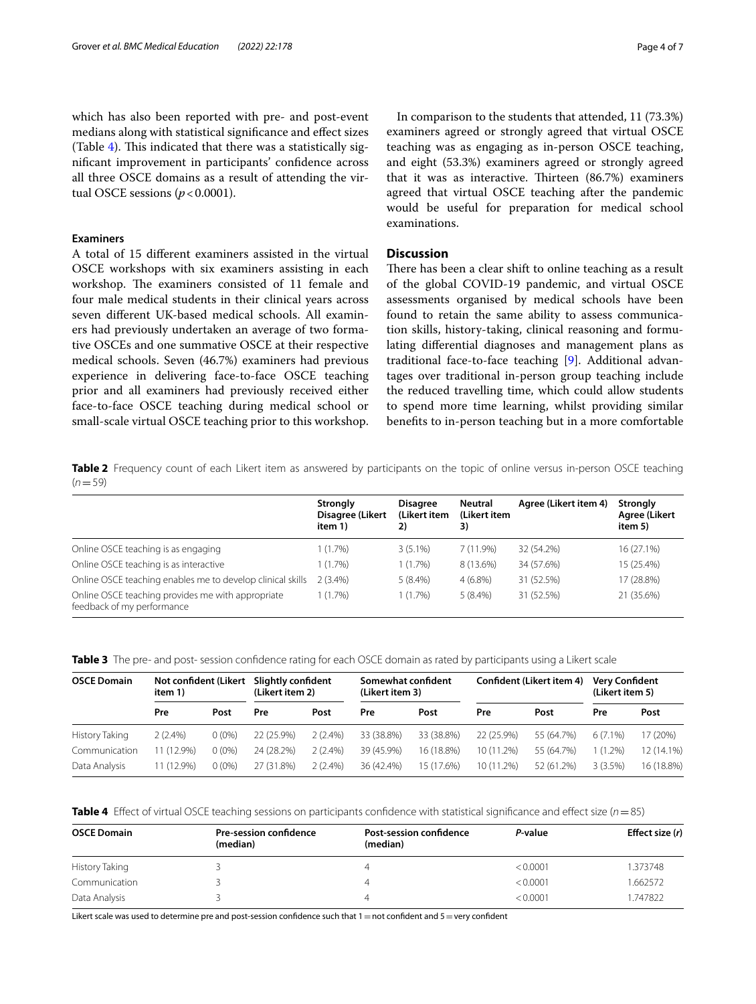which has also been reported with pre- and post-event medians along with statistical signifcance and efect sizes (Table [4\)](#page-3-2). This indicated that there was a statistically signifcant improvement in participants' confdence across all three OSCE domains as a result of attending the virtual OSCE sessions  $(p < 0.0001)$ .

#### **Examiners**

A total of 15 diferent examiners assisted in the virtual OSCE workshops with six examiners assisting in each workshop. The examiners consisted of 11 female and four male medical students in their clinical years across seven diferent UK-based medical schools. All examiners had previously undertaken an average of two formative OSCEs and one summative OSCE at their respective medical schools. Seven (46.7%) examiners had previous experience in delivering face-to-face OSCE teaching prior and all examiners had previously received either face-to-face OSCE teaching during medical school or small-scale virtual OSCE teaching prior to this workshop.

In comparison to the students that attended, 11 (73.3%) examiners agreed or strongly agreed that virtual OSCE teaching was as engaging as in-person OSCE teaching, and eight (53.3%) examiners agreed or strongly agreed that it was as interactive. Thirteen  $(86.7%)$  examiners agreed that virtual OSCE teaching after the pandemic would be useful for preparation for medical school examinations.

## **Discussion**

There has been a clear shift to online teaching as a result of the global COVID-19 pandemic, and virtual OSCE assessments organised by medical schools have been found to retain the same ability to assess communication skills, history-taking, clinical reasoning and formulating diferential diagnoses and management plans as traditional face-to-face teaching [[9\]](#page-5-8). Additional advantages over traditional in-person group teaching include the reduced travelling time, which could allow students to spend more time learning, whilst providing similar benefts to in-person teaching but in a more comfortable

<span id="page-3-0"></span>**Table 2** Frequency count of each Likert item as answered by participants on the topic of online versus in-person OSCE teaching  $(n=59)$ 

|                                                                                 | <b>Strongly</b><br>Disagree (Likert<br>item 1) | <b>Disagree</b><br>(Likert item<br>2) | <b>Neutral</b><br>(Likert item<br>3) | Agree (Likert item 4) | Strongly<br><b>Agree (Likert</b><br>item 5) |
|---------------------------------------------------------------------------------|------------------------------------------------|---------------------------------------|--------------------------------------|-----------------------|---------------------------------------------|
| Online OSCE teaching is as engaging                                             | 1 (1.7%)                                       | $3(5.1\%)$                            | 7(11.9%)                             | 32 (54.2%)            | 16 (27.1%)                                  |
| Online OSCE teaching is as interactive                                          | 1 (1.7%)                                       | 1(1.7%)                               | 8 (13.6%)                            | 34 (57.6%)            | 15 (25.4%)                                  |
| Online OSCE teaching enables me to develop clinical skills                      | $2(3.4\%)$                                     | $5(8.4\%)$                            | $4(6.8\%)$                           | 31 (52.5%)            | 17 (28.8%)                                  |
| Online OSCE teaching provides me with appropriate<br>feedback of my performance | 1 (1.7%)                                       | $1(1.7\%)$                            | $5(8.4\%)$                           | 31 (52.5%)            | 21 (35.6%)                                  |

<span id="page-3-1"></span>**Table 3** The pre- and post- session confdence rating for each OSCE domain as rated by participants using a Likert scale

| <b>OSCE Domain</b> | Not confident (Likert<br>item 1) |          | Slightly confident<br>(Likert item 2) |            | Somewhat confident<br>(Likert item 3) |            | Confident (Likert item 4) |            | <b>Very Confident</b><br>(Likert item 5) |            |
|--------------------|----------------------------------|----------|---------------------------------------|------------|---------------------------------------|------------|---------------------------|------------|------------------------------------------|------------|
|                    | Pre                              | Post     | Pre                                   | Post       | Pre                                   | Post       | Pre                       | Post       | Pre                                      | Post       |
| History Taking     | $2(2.4\%)$                       | $0(0\%)$ | 22 (25.9%)                            | $2(2.4\%)$ | 33 (38.8%)                            | 33 (38.8%) | 22 (25.9%)                | 55 (64.7%) | $6(7.1\%)$                               | 17 (20%)   |
| Communication      | 11 (12.9%)                       | $0(0\%)$ | 24 (28.2%)                            | $2(2.4\%)$ | 39 (45.9%)                            | 16 (18.8%) | 10 (11.2%)                | 55 (64.7%) | $(1.2\%)$                                | 12 (14.1%) |
| Data Analysis      | 11 (12.9%)                       | $0(0\%)$ | 27 (31.8%)                            | $2(2.4\%)$ | 36 (42.4%)                            | 15 (17.6%) | 10 (11.2%)                | 52 (61.2%) | 3(3.5%)                                  | 16 (18.8%) |

<span id="page-3-2"></span>

| Table 4 Effect of virtual OSCE teaching sessions on participants confidence with statistical significance and effect size (n = 85) |  |
|------------------------------------------------------------------------------------------------------------------------------------|--|
|------------------------------------------------------------------------------------------------------------------------------------|--|

| <b>OSCE Domain</b> | <b>Pre-session confidence</b> | <b>Post-session confidence</b> | P-value  | Effect size (r) |  |
|--------------------|-------------------------------|--------------------------------|----------|-----------------|--|
|                    | (median)                      | (median)                       |          |                 |  |
| History Taking     |                               |                                | < 0.0001 | 1.373748        |  |
| Communication      |                               |                                | < 0.0001 | 1.662572        |  |
| Data Analysis      |                               |                                | < 0.0001 | 1.747822        |  |

Likert scale was used to determine pre and post-session confidence such that  $1=$  not confident and  $5=$ very confident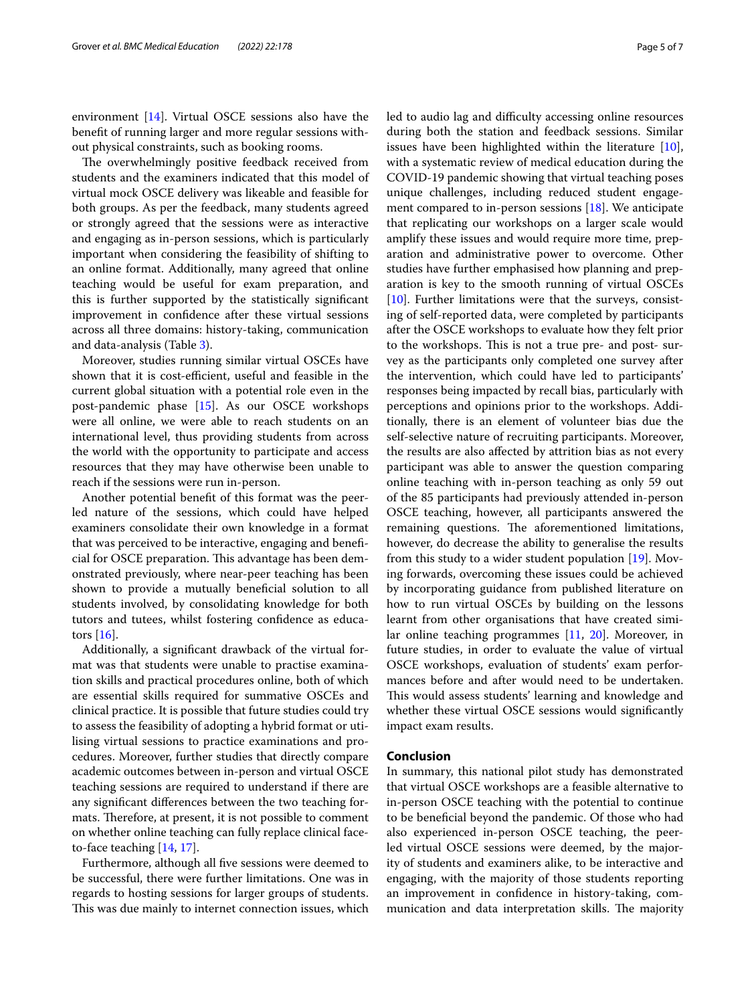environment [[14](#page-5-13)]. Virtual OSCE sessions also have the beneft of running larger and more regular sessions without physical constraints, such as booking rooms.

The overwhelmingly positive feedback received from students and the examiners indicated that this model of virtual mock OSCE delivery was likeable and feasible for both groups. As per the feedback, many students agreed or strongly agreed that the sessions were as interactive and engaging as in-person sessions, which is particularly important when considering the feasibility of shifting to an online format. Additionally, many agreed that online teaching would be useful for exam preparation, and this is further supported by the statistically signifcant improvement in confdence after these virtual sessions across all three domains: history-taking, communication and data-analysis (Table [3](#page-3-1)).

Moreover, studies running similar virtual OSCEs have shown that it is cost-efficient, useful and feasible in the current global situation with a potential role even in the post-pandemic phase [[15\]](#page-5-14). As our OSCE workshops were all online, we were able to reach students on an international level, thus providing students from across the world with the opportunity to participate and access resources that they may have otherwise been unable to reach if the sessions were run in-person.

Another potential beneft of this format was the peerled nature of the sessions, which could have helped examiners consolidate their own knowledge in a format that was perceived to be interactive, engaging and benefcial for OSCE preparation. This advantage has been demonstrated previously, where near-peer teaching has been shown to provide a mutually benefcial solution to all students involved, by consolidating knowledge for both tutors and tutees, whilst fostering confdence as educators [\[16\]](#page-5-15).

Additionally, a signifcant drawback of the virtual format was that students were unable to practise examination skills and practical procedures online, both of which are essential skills required for summative OSCEs and clinical practice. It is possible that future studies could try to assess the feasibility of adopting a hybrid format or utilising virtual sessions to practice examinations and procedures. Moreover, further studies that directly compare academic outcomes between in-person and virtual OSCE teaching sessions are required to understand if there are any signifcant diferences between the two teaching formats. Therefore, at present, it is not possible to comment on whether online teaching can fully replace clinical faceto-face teaching [\[14](#page-5-13), [17\]](#page-5-16).

Furthermore, although all fve sessions were deemed to be successful, there were further limitations. One was in regards to hosting sessions for larger groups of students. This was due mainly to internet connection issues, which led to audio lag and difficulty accessing online resources during both the station and feedback sessions. Similar issues have been highlighted within the literature [\[10](#page-5-9)], with a systematic review of medical education during the COVID-19 pandemic showing that virtual teaching poses unique challenges, including reduced student engagement compared to in-person sessions [\[18](#page-6-0)]. We anticipate that replicating our workshops on a larger scale would amplify these issues and would require more time, preparation and administrative power to overcome. Other studies have further emphasised how planning and preparation is key to the smooth running of virtual OSCEs [[10\]](#page-5-9). Further limitations were that the surveys, consisting of self-reported data, were completed by participants after the OSCE workshops to evaluate how they felt prior to the workshops. This is not a true pre- and post- survey as the participants only completed one survey after the intervention, which could have led to participants' responses being impacted by recall bias, particularly with perceptions and opinions prior to the workshops. Additionally, there is an element of volunteer bias due the self-selective nature of recruiting participants. Moreover, the results are also afected by attrition bias as not every participant was able to answer the question comparing online teaching with in-person teaching as only 59 out of the 85 participants had previously attended in-person OSCE teaching, however, all participants answered the remaining questions. The aforementioned limitations, however, do decrease the ability to generalise the results from this study to a wider student population [\[19\]](#page-6-1). Moving forwards, overcoming these issues could be achieved by incorporating guidance from published literature on how to run virtual OSCEs by building on the lessons learnt from other organisations that have created similar online teaching programmes [\[11](#page-5-10), [20\]](#page-6-2). Moreover, in future studies, in order to evaluate the value of virtual OSCE workshops, evaluation of students' exam performances before and after would need to be undertaken. This would assess students' learning and knowledge and whether these virtual OSCE sessions would significantly impact exam results.

## **Conclusion**

In summary, this national pilot study has demonstrated that virtual OSCE workshops are a feasible alternative to in-person OSCE teaching with the potential to continue to be benefcial beyond the pandemic. Of those who had also experienced in-person OSCE teaching, the peerled virtual OSCE sessions were deemed, by the majority of students and examiners alike, to be interactive and engaging, with the majority of those students reporting an improvement in confdence in history-taking, communication and data interpretation skills. The majority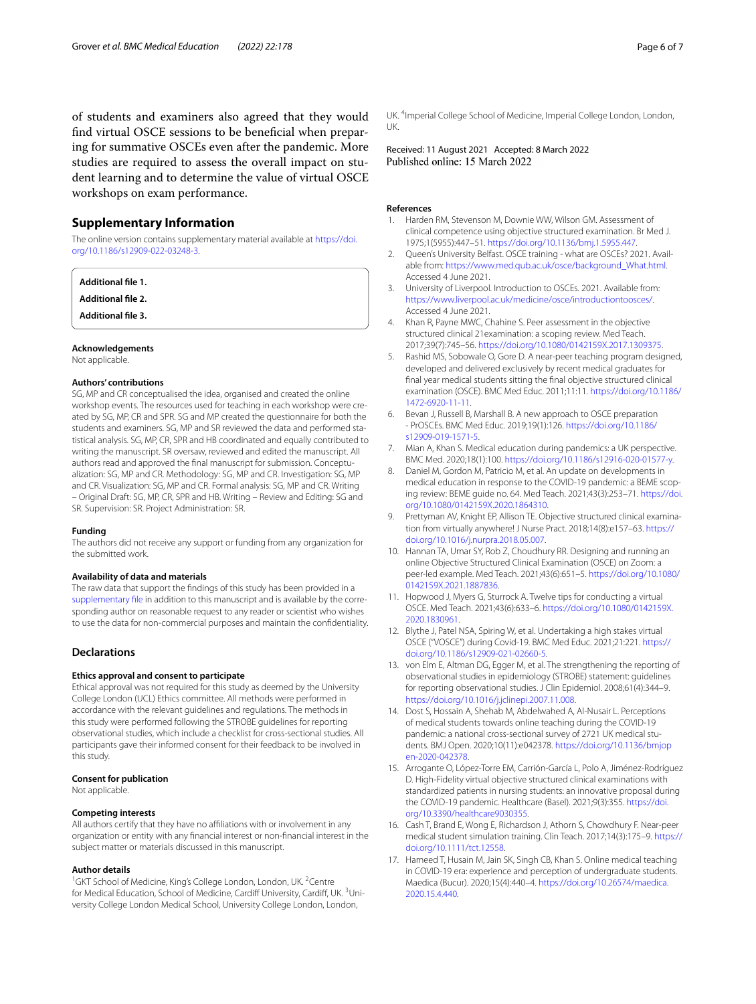## **Supplementary Information**

The online version contains supplementary material available at [https://doi.](https://doi.org/10.1186/s12909-022-03248-3) [org/10.1186/s12909-022-03248-3](https://doi.org/10.1186/s12909-022-03248-3).

<span id="page-5-17"></span>**Additional fle 1.**

**Additional fle 2.**

**Additional fle 3.**

#### **Acknowledgements**

Not applicable.

#### **Authors' contributions**

SG, MP and CR conceptualised the idea, organised and created the online workshop events. The resources used for teaching in each workshop were created by SG, MP, CR and SPR. SG and MP created the questionnaire for both the students and examiners. SG, MP and SR reviewed the data and performed statistical analysis. SG, MP, CR, SPR and HB coordinated and equally contributed to writing the manuscript. SR oversaw, reviewed and edited the manuscript. All authors read and approved the fnal manuscript for submission. Conceptualization: SG, MP and CR. Methodology: SG, MP and CR. Investigation: SG, MP and CR. Visualization: SG, MP and CR. Formal analysis: SG, MP and CR. Writing – Original Draft: SG, MP, CR, SPR and HB. Writing – Review and Editing: SG and SR. Supervision: SR. Project Administration: SR.

#### **Funding**

The authors did not receive any support or funding from any organization for the submitted work.

#### **Availability of data and materials**

The raw data that support the fndings of this study has been provided in a [supplementary fle](#page-5-17) in addition to this manuscript and is available by the corresponding author on reasonable request to any reader or scientist who wishes to use the data for non-commercial purposes and maintain the confdentiality.

#### **Declarations**

## **Ethics approval and consent to participate**

Ethical approval was not required for this study as deemed by the University College London (UCL) Ethics committee. All methods were performed in accordance with the relevant quidelines and regulations. The methods in this study were performed following the STROBE guidelines for reporting observational studies, which include a checklist for cross-sectional studies. All participants gave their informed consent for their feedback to be involved in this study.

#### **Consent for publication**

Not applicable.

#### **Competing interests**

All authors certify that they have no affiliations with or involvement in any organization or entity with any fnancial interest or non-fnancial interest in the subject matter or materials discussed in this manuscript.

#### **Author details**

<sup>1</sup>GKT School of Medicine, King's College London, London, UK. <sup>2</sup>Centre for Medical Education, School of Medicine, Cardiff University, Cardiff, UK. <sup>3</sup>University College London Medical School, University College London, London,

UK. 4 Imperial College School of Medicine, Imperial College London, London, UK.

Received: 11 August 2021 Accepted: 8 March 2022

#### **References**

- <span id="page-5-0"></span>Harden RM, Stevenson M, Downie WW, Wilson GM. Assessment of clinical competence using objective structured examination. Br Med J. 1975;1(5955):447–51.<https://doi.org/10.1136/bmj.1.5955.447>.
- <span id="page-5-1"></span>2. Queen's University Belfast. OSCE training - what are OSCEs? 2021. Available from: [https://www.med.qub.ac.uk/osce/background\\_What.html.](https://www.med.qub.ac.uk/osce/background_What.html) Accessed 4 June 2021.
- <span id="page-5-2"></span>3. University of Liverpool. Introduction to OSCEs. 2021. Available from: <https://www.liverpool.ac.uk/medicine/osce/introductiontoosces/>. Accessed 4 June 2021.
- <span id="page-5-3"></span>4. Khan R, Payne MWC, Chahine S. Peer assessment in the objective structured clinical 21examination: a scoping review. Med Teach. 2017;39(7):745–56. <https://doi.org/10.1080/0142159X.2017.1309375>.
- <span id="page-5-4"></span>5. Rashid MS, Sobowale O, Gore D. A near-peer teaching program designed, developed and delivered exclusively by recent medical graduates for fnal year medical students sitting the fnal objective structured clinical examination (OSCE). BMC Med Educ. 2011;11:11. [https://doi.org/10.1186/](https://doi.org/10.1186/1472-6920-11-11) [1472-6920-11-11](https://doi.org/10.1186/1472-6920-11-11).
- <span id="page-5-5"></span>6. Bevan J, Russell B, Marshall B. A new approach to OSCE preparation - PrOSCEs. BMC Med Educ. 2019;19(1):126. [https://doi.org/10.1186/](https://doi.org/10.1186/s12909-019-1571-5) [s12909-019-1571-5.](https://doi.org/10.1186/s12909-019-1571-5)
- <span id="page-5-6"></span>Mian A, Khan S. Medical education during pandemics: a UK perspective. BMC Med. 2020;18(1):100. [https://doi.org/10.1186/s12916-020-01577-y.](https://doi.org/10.1186/s12916-020-01577-y)
- <span id="page-5-7"></span>8. Daniel M, Gordon M, Patricio M, et al. An update on developments in medical education in response to the COVID-19 pandemic: a BEME scoping review: BEME guide no. 64. Med Teach. 2021;43(3):253–71. [https://doi.](https://doi.org/10.1080/0142159X.2020.1864310) [org/10.1080/0142159X.2020.1864310](https://doi.org/10.1080/0142159X.2020.1864310).
- <span id="page-5-8"></span>9. Prettyman AV, Knight EP, Allison TE. Objective structured clinical examination from virtually anywhere! J Nurse Pract. 2018;14(8):e157–63. [https://](https://doi.org/10.1016/j.nurpra.2018.05.007) [doi.org/10.1016/j.nurpra.2018.05.007](https://doi.org/10.1016/j.nurpra.2018.05.007).
- <span id="page-5-9"></span>10. Hannan TA, Umar SY, Rob Z, Choudhury RR. Designing and running an online Objective Structured Clinical Examination (OSCE) on Zoom: a peer-led example. Med Teach. 2021;43(6):651–5. [https://doi.org/10.1080/](https://doi.org/10.1080/0142159X.2021.1887836) [0142159X.2021.1887836](https://doi.org/10.1080/0142159X.2021.1887836).
- <span id="page-5-10"></span>11. Hopwood J, Myers G, Sturrock A. Twelve tips for conducting a virtual OSCE. Med Teach. 2021;43(6):633–6. [https://doi.org/10.1080/0142159X.](https://doi.org/10.1080/0142159X.2020.1830961) [2020.1830961](https://doi.org/10.1080/0142159X.2020.1830961).
- <span id="page-5-11"></span>12. Blythe J, Patel NSA, Spiring W, et al. Undertaking a high stakes virtual OSCE ("VOSCE") during Covid-19. BMC Med Educ. 2021;21:221. [https://](https://doi.org/10.1186/s12909-021-02660-5) [doi.org/10.1186/s12909-021-02660-5](https://doi.org/10.1186/s12909-021-02660-5).
- <span id="page-5-12"></span>13. von Elm E, Altman DG, Egger M, et al. The strengthening the reporting of observational studies in epidemiology (STROBE) statement: guidelines for reporting observational studies. J Clin Epidemiol. 2008;61(4):344–9. [https://doi.org/10.1016/j.jclinepi.2007.11.008.](https://doi.org/10.1016/j.jclinepi.2007.11.008)
- <span id="page-5-13"></span>14. Dost S, Hossain A, Shehab M, Abdelwahed A, Al-Nusair L. Perceptions of medical students towards online teaching during the COVID-19 pandemic: a national cross-sectional survey of 2721 UK medical students. BMJ Open. 2020;10(11):e042378. [https://doi.org/10.1136/bmjop](https://doi.org/10.1136/bmjopen-2020-042378) [en-2020-042378](https://doi.org/10.1136/bmjopen-2020-042378).
- <span id="page-5-14"></span>15. Arrogante O, López-Torre EM, Carrión-García L, Polo A, Jiménez-Rodríguez D. High-Fidelity virtual objective structured clinical examinations with standardized patients in nursing students: an innovative proposal during the COVID-19 pandemic. Healthcare (Basel). 2021;9(3):355. [https://doi.](https://doi.org/10.3390/healthcare9030355) [org/10.3390/healthcare9030355.](https://doi.org/10.3390/healthcare9030355)
- <span id="page-5-15"></span>16. Cash T, Brand E, Wong E, Richardson J, Athorn S, Chowdhury F. Near-peer medical student simulation training. Clin Teach. 2017;14(3):175–9. [https://](https://doi.org/10.1111/tct.12558) [doi.org/10.1111/tct.12558](https://doi.org/10.1111/tct.12558).
- <span id="page-5-16"></span>17. Hameed T, Husain M, Jain SK, Singh CB, Khan S. Online medical teaching in COVID-19 era: experience and perception of undergraduate students. Maedica (Bucur). 2020;15(4):440–4. [https://doi.org/10.26574/maedica.](https://doi.org/10.26574/maedica.2020.15.4.440) [2020.15.4.440](https://doi.org/10.26574/maedica.2020.15.4.440).